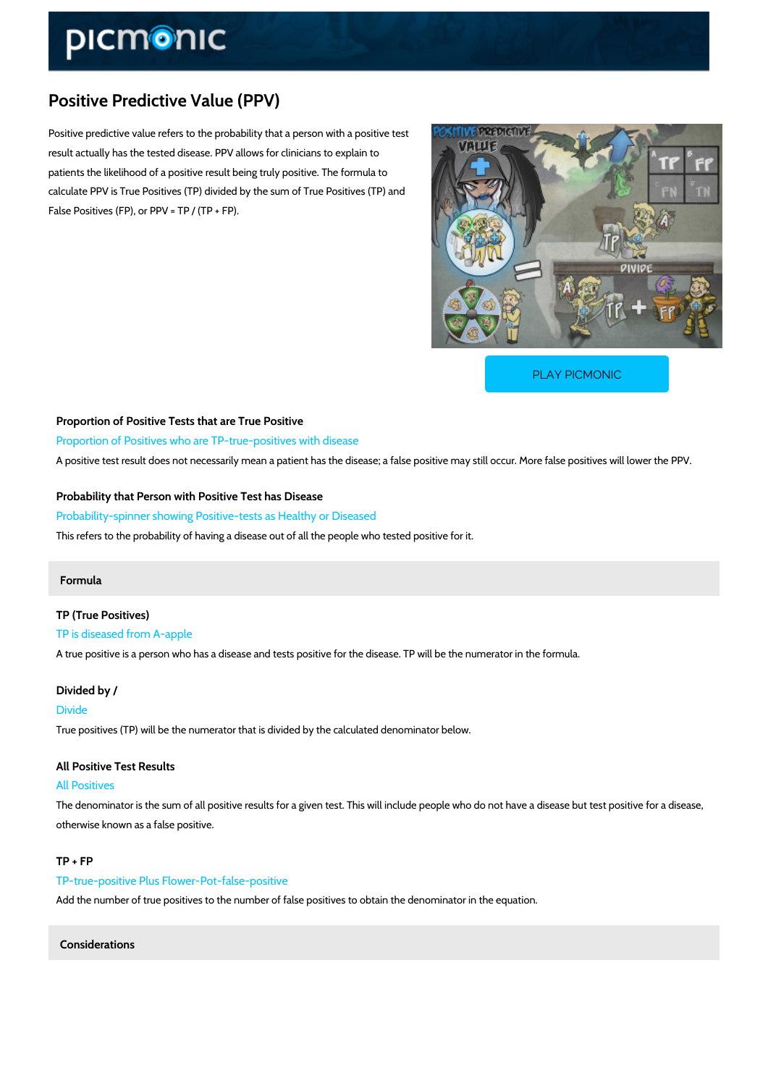# Positive Predictive Value (PPV)

Positive predictive value refers to the probability that a person with a positive test result actually has the tested disease. PPV allows for clinicians to explain to patients the likelihood of a positive result being truly positive. The formula to calculate PPV is True Positives (TP) divided by the sum of True Positives (TP) and False Positives (FP), or PPV =  $TP / (TP + FP)$ .

[PLAY PICMONIC](https://www.picmonic.com/learn/positive-predictive-value-ppv_2494?utm_source=downloadable_content&utm_medium=distributedcontent&utm_campaign=pathways_pdf&utm_content=Positive Predictive Value (PPV)&utm_ad_group=leads&utm_market=all)

Proportion of Positive Tests that are True Positive Proportion of Positives who are TP-true-positives with disease A positive test result does not necessarily mean a patient has the disease; a false positive m

Probability that Person with Positive Test has Disease Probability-spinner showing Positive-tests as Healthy or Diseased This refers to the probability of having a disease out of all the people who tested positive for

#### Formula

TP (True Positives) TP is diseased from A-apple A true positive is a person who has a disease and tests positive for the disease. TP will be th

## Divided by /

Divide True positives (TP) will be the numerator that is divided by the calculated denominator below.

### All Positive Test Results

All Positives

The denominator is the sum of all positive results for a given test. This will include people wl otherwise known as a false positive.

#### TP + FP

TP-true-positive Plus Flower-Pot-false-positive Add the number of true positives to the number of false positives to obtain the denominator in

Considerations